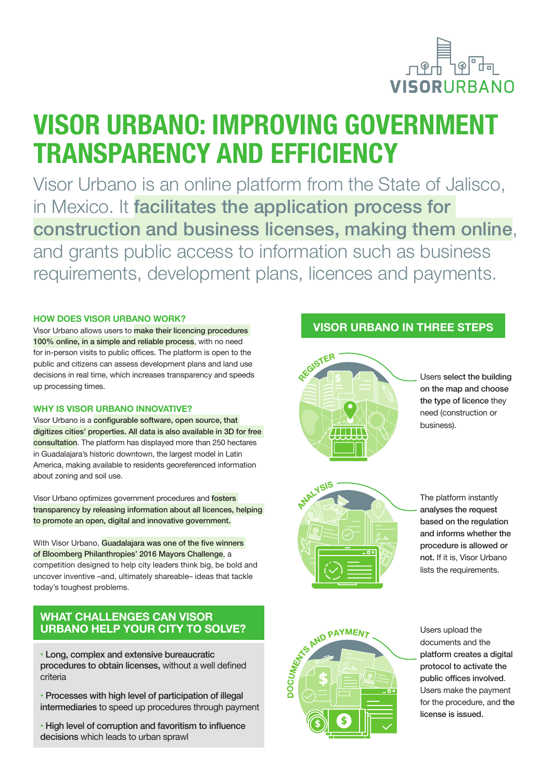

# **VISOR URBANO: IMPROVING GOVERNMENT TRANSPARENCY AND EFFICIENCY**

Visor Urbano is an online platform from the State of Jalisco, in Mexico. It facilitates the application process for construction and business licenses, making them online, and grants public access to information such as business requirements, development plans, licences and payments.

#### **HOW DOES VISOR URBANO WORK?**

Visor Urbano allows users to make their licencing procedures 100% online, in a simple and reliable process, with no need for in-person visits to public offices. The platform is open to the public and citizens can assess development plans and land use decisions in real time, which increases transparency and speeds up processing times.

#### **WHY IS VISOR URBANO INNOVATIVE?**

Visor Urbano is a configurable software, open source, that digitizes cities' properties. All data is also available in 3D for free consultation. The platform has displayed more than 250 hectares in Guadalajara's historic downtown, the largest model in Latin America, making available to residents georeferenced information about zoning and soil use.

Visor Urbano optimizes government procedures and fosters transparency by releasing information about all licences, helping to promote an open, digital and innovative government.

With Visor Urbano, Guadalajara was one of the five winners of Bloomberg Philanthropies' 2016 Mayors Challenge, a competition designed to help city leaders think big, be bold and uncover inventive –and, ultimately shareable– ideas that tackle today's toughest problems.

### **WHAT CHALLENGES CAN VISOR URBANO HELP YOUR CITY TO SOLVE?**

• Long, complex and extensive bureaucratic procedures to obtain licenses, without a well defined criteria

- Processes with high level of participation of illegal intermediaries to speed up procedures through payment
- High level of corruption and favoritism to influence decisions which leads to urban sprawl

## **VISOR URBANO IN THREE STEPS**



Users select the building on the map and choose the type of licence they need (construction or business).



The platform instantly analyses the request based on the regulation and informs whether the procedure is allowed or not. If it is, Visor Urbano lists the requirements.



Users upload the documents and the platform creates a digital protocol to activate the public offices involved. Users make the payment for the procedure, and the license is issued.